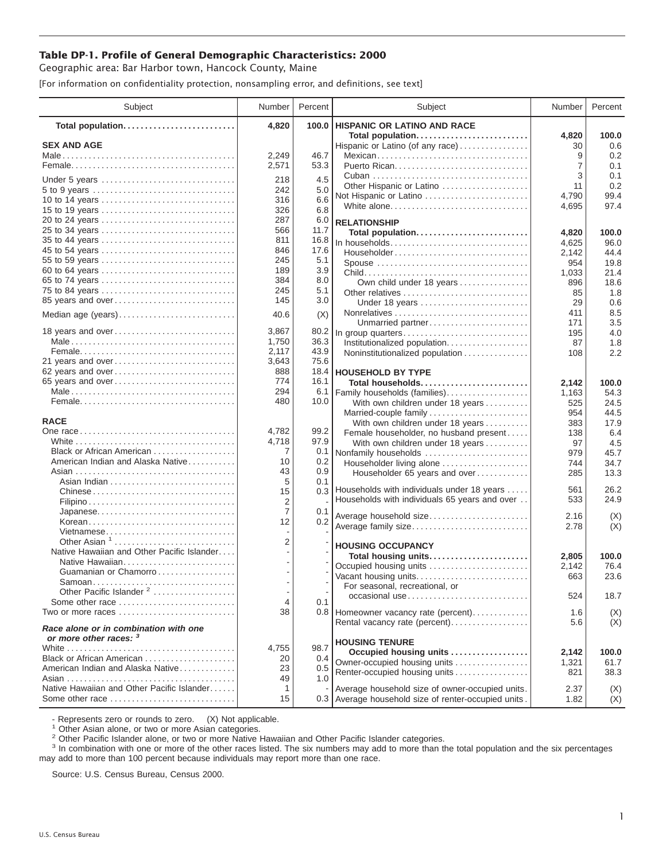## **Table DP-1. Profile of General Demographic Characteristics: 2000**

Geographic area: Bar Harbor town, Hancock County, Maine

[For information on confidentiality protection, nonsampling error, and definitions, see text]

| Subject                                                         | Number         | Percent      | Subject                                                       | Number  | Percent      |
|-----------------------------------------------------------------|----------------|--------------|---------------------------------------------------------------|---------|--------------|
| Total population                                                | 4,820          | 100.0        | <b>HISPANIC OR LATINO AND RACE</b>                            |         |              |
|                                                                 |                |              | Total population                                              | 4,820   | 100.0        |
| <b>SEX AND AGE</b>                                              | 2,249          | 46.7         | Hispanic or Latino (of any race)                              | 30<br>9 | 0.6<br>0.2   |
|                                                                 | 2,571          | 53.3         | Mexican                                                       | 7       | 0.1          |
|                                                                 |                |              |                                                               | 3       | 0.1          |
| Under 5 years                                                   | 218            | 4.5          | Other Hispanic or Latino                                      | 11      | 0.2          |
| 5 to 9 years                                                    | 242            | 5.0          | Not Hispanic or Latino                                        | 4,790   | 99.4         |
| 10 to 14 years                                                  | 316            | 6.6          | White alone                                                   | 4,695   | 97.4         |
| 15 to 19 years                                                  | 326            | 6.8          |                                                               |         |              |
| 20 to 24 years                                                  | 287            | 6.0          | <b>RELATIONSHIP</b>                                           |         |              |
| 25 to 34 years                                                  | 566            | 11.7         | Total population                                              | 4,820   | 100.0        |
| 35 to 44 years                                                  | 811            | 16.8         | In households                                                 | 4,625   | 96.0         |
| 45 to 54 years                                                  | 846            | 17.6         | Householder                                                   | 2.142   | 44.4         |
| 55 to 59 years                                                  | 245            | 5.1          | Spouse                                                        | 954     | 19.8         |
| 60 to 64 years                                                  | 189<br>384     | 3.9          |                                                               | 1,033   | 21.4         |
| 65 to 74 years                                                  | 245            | 8.0<br>5.1   | Own child under 18 years                                      | 896     | 18.6         |
| 75 to 84 years<br>85 years and over                             | 145            | 3.0          | Other relatives                                               | 85      | 1.8          |
|                                                                 |                |              | Under 18 years                                                | 29      | 0.6          |
| Median age (years)                                              | 40.6           | (X)          |                                                               | 411     | 8.5          |
| 18 years and over                                               | 3,867          |              | Unmarried partner                                             | 171     | 3.5          |
|                                                                 | 1,750          | 80.2<br>36.3 | In group quarters                                             | 195     | 4.0          |
|                                                                 | 2,117          | 43.9         | Institutionalized population                                  | 87      | 1.8          |
| 21 years and over                                               | 3,643          | 75.6         | Noninstitutionalized population                               | 108     | 2.2          |
| 62 years and over                                               | 888            | 18.4         | <b>HOUSEHOLD BY TYPE</b>                                      |         |              |
| 65 years and over                                               | 774            | 16.1         | Total households                                              | 2,142   | 100.0        |
|                                                                 | 294            | 6.1          | Family households (families)                                  | 1,163   | 54.3         |
|                                                                 | 480            | 10.0         | With own children under 18 years                              | 525     | 24.5         |
|                                                                 |                |              | Married-couple family                                         | 954     | 44.5         |
| <b>RACE</b>                                                     |                |              | With own children under 18 years                              | 383     | 17.9         |
|                                                                 | 4,782          | 99.2         | Female householder, no husband present                        | 138     | 6.4          |
|                                                                 | 4,718          | 97.9         | With own children under 18 years                              | 97      | 4.5          |
| Black or African American                                       | 7              | 0.1          | Nonfamily households                                          | 979     | 45.7         |
| American Indian and Alaska Native                               | 10             | 0.2          | Householder living alone                                      | 744     | 34.7         |
|                                                                 | 43             | 0.9          | Householder 65 years and over                                 | 285     | 13.3         |
|                                                                 | 5              | 0.1          |                                                               |         |              |
|                                                                 | 15             |              | 0.3 Households with individuals under 18 years                | 561     | 26.2         |
|                                                                 | 2              |              | Households with individuals 65 years and over                 | 533     | 24.9         |
| Japanese                                                        | $\overline{7}$ | 0.1          | Average household size                                        | 2.16    | (X)          |
|                                                                 | 12             | 0.2          | Average family size                                           | 2.78    | (X)          |
| Vietnamese                                                      |                |              |                                                               |         |              |
| Other Asian <sup>1</sup>                                        | 2              |              | <b>HOUSING OCCUPANCY</b>                                      |         |              |
| Native Hawaiian and Other Pacific Islander                      |                |              | Total housing units                                           | 2,805   | 100.0        |
| Native Hawaiian                                                 |                |              | Occupied housing units                                        | 2,142   | 76.4         |
| Guamanian or Chamorro                                           |                |              | Vacant housing units                                          | 663     | 23.6         |
| Samoan<br>Other Pacific Islander <sup>2</sup>                   |                |              | For seasonal, recreational, or                                |         |              |
| Some other race                                                 | 4              | 0.1          | occasional use                                                | 524     | 18.7         |
| Two or more races                                               | 38             |              | 0.8 Homeowner vacancy rate (percent)                          | 1.6     | (X)          |
|                                                                 |                |              | Rental vacancy rate (percent)                                 | 5.6     | (X)          |
| Race alone or in combination with one<br>or more other races: 3 |                |              |                                                               |         |              |
|                                                                 | 4,755          | 98.7         | <b>HOUSING TENURE</b>                                         |         |              |
| Black or African American                                       | 20             | 0.4          | Occupied housing units                                        | 2,142   | 100.0        |
| American Indian and Alaska Native                               | 23             | 0.5          | Owner-occupied housing units<br>Renter-occupied housing units | 1,321   | 61.7<br>38.3 |
|                                                                 | 49             | 1.0          |                                                               | 821     |              |
| Native Hawaiian and Other Pacific Islander                      | $\mathbf{1}$   |              | Average household size of owner-occupied units.               | 2.37    | (X)          |
| Some other race                                                 | 15             |              | 0.3 Average household size of renter-occupied units.          | 1.82    | (X)          |

- Represents zero or rounds to zero. (X) Not applicable.<br><sup>1</sup> Other Asian alone, or two or more Asian categories.

<sup>2</sup> Other Pacific Islander alone, or two or more Native Hawaiian and Other Pacific Islander categories.<br><sup>3</sup> In combination with one or more of the other races listed. The six numbers may add to more than the total populati may add to more than 100 percent because individuals may report more than one race.

Source: U.S. Census Bureau, Census 2000.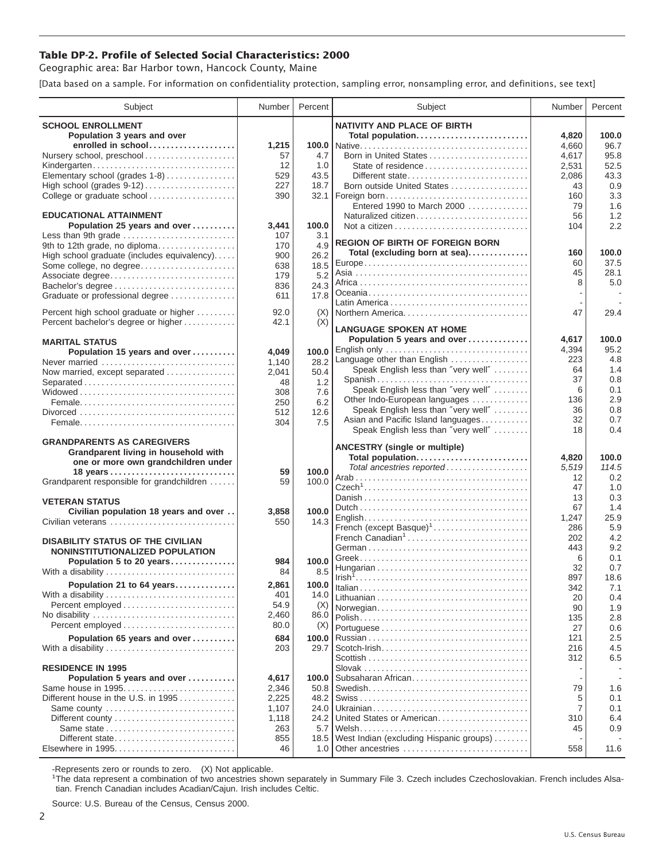## **Table DP-2. Profile of Selected Social Characteristics: 2000**

Geographic area: Bar Harbor town, Hancock County, Maine

[Data based on a sample. For information on confidentiality protection, sampling error, nonsampling error, and definitions, see text]

| Subject                                             | Number         | Percent      | Subject                                                              | Number    | Percent    |
|-----------------------------------------------------|----------------|--------------|----------------------------------------------------------------------|-----------|------------|
| <b>SCHOOL ENROLLMENT</b>                            |                |              | <b>NATIVITY AND PLACE OF BIRTH</b>                                   |           |            |
| Population 3 years and over                         |                |              | Total population                                                     | 4,820     | 100.0      |
| enrolled in school                                  | 1,215          |              |                                                                      | 4,660     | 96.7       |
| Nursery school, preschool                           | 57             | 4.7          | Born in United States                                                | 4,617     | 95.8       |
| Kindergarten                                        | 12             | 1.0          | State of residence                                                   | 2,531     | 52.5       |
| Elementary school (grades 1-8)                      | 529            | 43.5         | Different state                                                      | 2,086     | 43.3       |
| High school (grades 9-12)                           | 227            | 18.7         | Born outside United States                                           | 43        | 0.9        |
| College or graduate school                          | 390            |              | 32.1   Foreign born                                                  | 160       | 3.3        |
|                                                     |                |              | Entered 1990 to March 2000                                           | 79        | 1.6        |
| <b>EDUCATIONAL ATTAINMENT</b>                       |                | 100.0        | Naturalized citizen                                                  | 56        | 1.2<br>2.2 |
| Population 25 years and over<br>Less than 9th grade | 3,441<br>107   | 3.1          |                                                                      | 104       |            |
| 9th to 12th grade, no diploma                       | 170            | 4.9          | <b>REGION OF BIRTH OF FOREIGN BORN</b>                               |           |            |
| High school graduate (includes equivalency)         | 900            | 26.2         | Total (excluding born at sea)                                        | 160       | 100.0      |
| Some college, no degree                             | 638            | 18.5         |                                                                      | 60        | 37.5       |
| Associate degree                                    | 179            | 5.2          |                                                                      | 45        | 28.1       |
| Bachelor's degree                                   | 836            | 24.3         |                                                                      | 8         | 5.0        |
| Graduate or professional degree                     | 611            | 17.8         |                                                                      |           |            |
| Percent high school graduate or higher              | 92.0           |              | Northern America                                                     | 47        |            |
| Percent bachelor's degree or higher                 | 42.1           | (X)<br>(X)   |                                                                      |           | 29.4       |
|                                                     |                |              | <b>LANGUAGE SPOKEN AT HOME</b>                                       |           |            |
| <b>MARITAL STATUS</b>                               |                |              | Population 5 years and over                                          | 4,617     | 100.0      |
| Population 15 years and over                        | 4,049          | 100.0        | English only                                                         | 4,394     | 95.2       |
| Never married                                       | 1,140          | 28.2         | Language other than English                                          | 223       | 4.8        |
| Now married, except separated                       | 2,041          | 50.4         | Speak English less than "very well"                                  | 64        | 1.4        |
| Separated                                           | 48             | 1.2          | Spanish                                                              | 37        | 0.8        |
|                                                     | 308            | 7.6          | Speak English less than "very well"                                  | 6         | 0.1<br>2.9 |
|                                                     | 250            | 6.2          | Other Indo-European languages<br>Speak English less than "very well" | 136<br>36 | 0.8        |
|                                                     | 512            | 12.6         | Asian and Pacific Island languages                                   | 32        | 0.7        |
|                                                     | 304            | 7.5          | Speak English less than "very well"                                  | 18        | 0.4        |
| <b>GRANDPARENTS AS CAREGIVERS</b>                   |                |              |                                                                      |           |            |
| Grandparent living in household with                |                |              | <b>ANCESTRY (single or multiple)</b>                                 |           |            |
| one or more own grandchildren under                 |                |              | Total population                                                     | 4,820     | 100.0      |
| 18 years                                            | 59             | 100.0        | Total ancestries reported                                            | 5,519     | 114.5      |
| Grandparent responsible for grandchildren           | 59             | 100.0        |                                                                      | 12<br>47  | 0.2<br>1.0 |
|                                                     |                |              |                                                                      | 13        | 0.3        |
| <b>VETERAN STATUS</b>                               |                |              |                                                                      | 67        | 1.4        |
| Civilian population 18 years and over               | 3,858          | 100.0        |                                                                      | 1,247     | 25.9       |
| Civilian veterans                                   | 550            | 14.3         | French (except Basque) <sup>1</sup>                                  | 286       | 5.9        |
| <b>DISABILITY STATUS OF THE CIVILIAN</b>            |                |              | French Canadian <sup>1</sup>                                         | 202       | 4.2        |
| NONINSTITUTIONALIZED POPULATION                     |                |              |                                                                      | 443       | 9.2        |
| Population 5 to 20 years                            | 984            | 100.0        |                                                                      | 6         | 0.1        |
| With a disability                                   | 84             | 8.5          |                                                                      | 32        | 0.7        |
| Population 21 to 64 years                           | 2,861          | 100.0        |                                                                      | 897       | 18.6       |
| With a disability                                   | 401            | 14.0         |                                                                      | 342<br>20 | 7.1<br>0.4 |
|                                                     | 54.9           | (X)          | Norwegian                                                            | 90        | 1.9        |
| No disability                                       | 2,460          | 86.0         |                                                                      | 135       | 2.8        |
| Percent employed                                    | 80.0           | (X)          |                                                                      | 27        | 0.6        |
| Population 65 years and over                        | 684            | 100.0        |                                                                      | 121       | 2.5        |
| With a disability                                   | 203            | 29.7         |                                                                      | 216       | 4.5        |
|                                                     |                |              |                                                                      | 312       | 6.5        |
| <b>RESIDENCE IN 1995</b>                            |                |              |                                                                      |           |            |
| Population 5 years and over                         | 4,617          | 100.0        | Subsaharan African                                                   |           |            |
| Same house in 1995                                  | 2,346          | 50.8         |                                                                      | 79        | 1.6        |
| Different house in the U.S. in 1995                 | 2,225          | 48.2         |                                                                      | 5         | 0.1        |
| Same county                                         | 1,107<br>1,118 | 24.0<br>24.2 | United States or American                                            | 7<br>310  | 0.1<br>6.4 |
|                                                     | 263            | 5.7          |                                                                      | 45        | 0.9        |
| Different state                                     | 855            | 18.5         | West Indian (excluding Hispanic groups)                              |           |            |
| Elsewhere in 1995                                   | 46             | 1.0          | Other ancestries                                                     | 558       | 11.6       |
|                                                     |                |              |                                                                      |           |            |

-Represents zero or rounds to zero. (X) Not applicable. 1 The data represent a combination of two ancestries shown separately in Summary File 3. Czech includes Czechoslovakian. French includes Alsatian. French Canadian includes Acadian/Cajun. Irish includes Celtic.

Source: U.S. Bureau of the Census, Census 2000.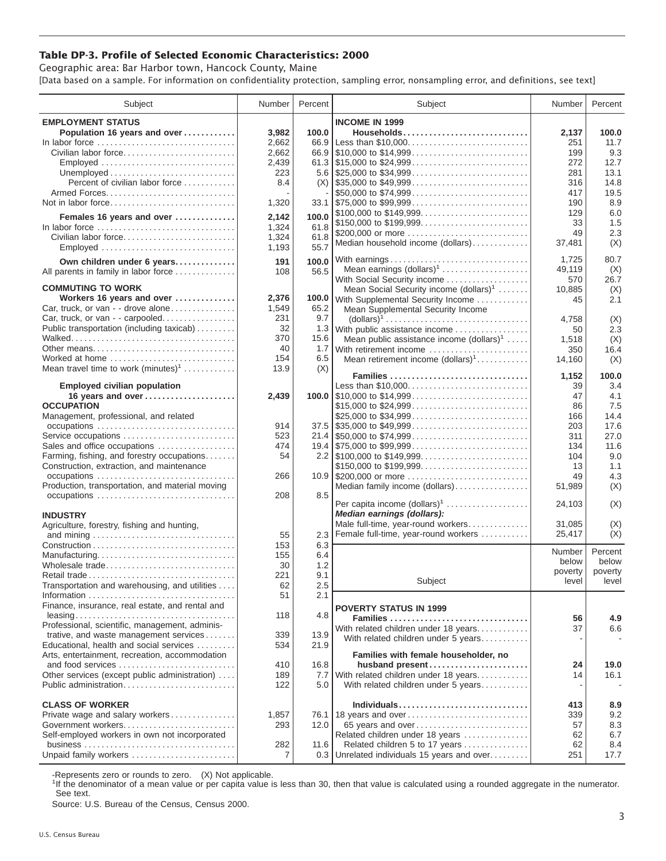## **Table DP-3. Profile of Selected Economic Characteristics: 2000**

Geographic area: Bar Harbor town, Hancock County, Maine [Data based on a sample. For information on confidentiality protection, sampling error, nonsampling error, and definitions, see text]

| Subject                                         | Number         | Percent | Subject                                                                                | Number  | Percent |
|-------------------------------------------------|----------------|---------|----------------------------------------------------------------------------------------|---------|---------|
| <b>EMPLOYMENT STATUS</b>                        |                |         | <b>INCOME IN 1999</b>                                                                  |         |         |
| Population 16 years and over                    | 3,982          | 100.0   | Households                                                                             | 2,137   | 100.0   |
| In labor force                                  | 2,662          | 66.9    | Less than \$10,000                                                                     | 251     | 11.7    |
|                                                 |                |         |                                                                                        |         |         |
| Civilian labor force                            | 2,662          |         |                                                                                        | 199     | 9.3     |
| Employed                                        | 2,439          |         |                                                                                        | 272     | 12.7    |
|                                                 | 223            |         | 5.6 $\frac{1}{25,000}$ to \$34,999                                                     | 281     | 13.1    |
| Percent of civilian labor force                 | 8.4            |         | $(X)$ \\ \$35,000 to \$49,999                                                          | 316     | 14.8    |
|                                                 |                |         | \$50,000 to \$74,999                                                                   | 417     | 19.5    |
| Not in labor force                              | 1,320          |         | $33.1$ \\\$75,000 to \$99,999                                                          | 190     | 8.9     |
|                                                 |                | 100.0   |                                                                                        | 129     | 6.0     |
| Females 16 years and over                       | 2,142          |         | \$150,000 to \$199,999                                                                 | 33      | 1.5     |
| In labor force                                  | 1,324          | 61.8    | \$200,000 or more                                                                      | 49      | 2.3     |
| Civilian labor force                            | 1,324          | 61.8    | Median household income (dollars)                                                      | 37,481  | (X)     |
| Employed                                        | 1,193          | 55.7    |                                                                                        |         |         |
| Own children under 6 years                      | 191            | 100.0   | With earnings                                                                          | 1,725   | 80.7    |
| All parents in family in labor force            | 108            | 56.5    | Mean earnings $(dollars)1$                                                             | 49,119  | (X)     |
|                                                 |                |         | With Social Security income                                                            | 570     | 26.7    |
| <b>COMMUTING TO WORK</b>                        |                |         | Mean Social Security income $(dollars)^1$                                              | 10,885  | (X)     |
| Workers 16 years and over                       | 2,376          |         | 100.0 With Supplemental Security Income                                                | 45      | 2.1     |
| Car, truck, or van - - drove alone              | 1,549          | 65.2    | Mean Supplemental Security Income                                                      |         |         |
| Car, truck, or van - - carpooled                | 231            | 9.7     | $\text{(dollars)}^1 \dots \dots \dots \dots \dots \dots \dots \dots \dots \dots \dots$ | 4,758   | (X)     |
| Public transportation (including taxicab)       | 32             |         | 1.3 With public assistance income                                                      |         |         |
|                                                 | 370            | 15.6    |                                                                                        | 50      | 2.3     |
|                                                 | 40             |         | Mean public assistance income $(dollars)1 \ldots$ .                                    | 1,518   | (X)     |
| Other means                                     |                | 1.7     | With retirement income                                                                 | 350     | 16.4    |
| Worked at home                                  | 154            | 6.5     | Mean retirement income $(dollars)1$                                                    | 14,160  | (X)     |
| Mean travel time to work $(minutes)^1$          | 13.9           | (X)     | Families                                                                               |         | 100.0   |
|                                                 |                |         |                                                                                        | 1,152   |         |
| <b>Employed civilian population</b>             |                |         | Less than \$10,000                                                                     | 39      | 3.4     |
| 16 years and over                               | 2,439          |         |                                                                                        | 47      | 4.1     |
| <b>OCCUPATION</b>                               |                |         | \$15,000 to \$24,999                                                                   | 86      | 7.5     |
| Management, professional, and related           |                |         | \$25,000 to \$34,999                                                                   | 166     | 14.4    |
| occupations                                     | 914            |         | $37.5$ \\$35,000 to \$49,999                                                           | 203     | 17.6    |
| Service occupations                             | 523            |         | $21.4$ \\$50,000 to \$74,999                                                           | 311     | 27.0    |
| Sales and office occupations                    | 474            |         |                                                                                        | 134     | 11.6    |
| Farming, fishing, and forestry occupations      | 54             |         |                                                                                        | 104     | 9.0     |
| Construction, extraction, and maintenance       |                |         | \$150,000 to \$199,999                                                                 | 13      | 1.1     |
|                                                 | 266            |         | 10.9 \$200,000 or more                                                                 | 49      | 4.3     |
| Production, transportation, and material moving |                |         | Median family income (dollars)                                                         | 51,989  | (X)     |
|                                                 | 208            | 8.5     |                                                                                        |         |         |
|                                                 |                |         | Per capita income $(dollars)1$                                                         | 24,103  | (X)     |
| <b>INDUSTRY</b>                                 |                |         | Median earnings (dollars):                                                             |         |         |
| Agriculture, forestry, fishing and hunting,     |                |         | Male full-time, year-round workers                                                     | 31,085  | (X)     |
|                                                 | 55             | 2.3     | Female full-time, year-round workers                                                   | 25,417  | (X)     |
|                                                 | 153            | 6.3     |                                                                                        |         |         |
| Manufacturing                                   | 155            | 6.4     |                                                                                        | Number  | Percent |
| Wholesale trade                                 | 30             | 1.2     |                                                                                        | below   | below   |
|                                                 |                |         |                                                                                        | poverty | poverty |
|                                                 | 221            | 9.1     | Subject                                                                                | level   | level   |
| Transportation and warehousing, and utilities   | 62             | $2.5\,$ |                                                                                        |         |         |
|                                                 | 51             | 2.1     |                                                                                        |         |         |
| Finance, insurance, real estate, and rental and |                |         | <b>POVERTY STATUS IN 1999</b>                                                          |         |         |
|                                                 | 118            | 4.8     | Families                                                                               | 56      | 4.9     |
| Professional, scientific, management, adminis-  |                |         | With related children under 18 years                                                   | 37      | 6.6     |
| trative, and waste management services          | 339            | 13.9    | With related children under 5 years                                                    |         |         |
| Educational, health and social services         | 534            | 21.9    |                                                                                        |         |         |
| Arts, entertainment, recreation, accommodation  |                |         | Families with female householder, no                                                   |         |         |
| and food services                               | 410            | 16.8    | husband present                                                                        | 24      | 19.0    |
| Other services (except public administration)   | 189            | 7.7     | With related children under 18 years                                                   | 14      | 16.1    |
| Public administration                           | 122            | 5.0     | With related children under 5 years                                                    |         |         |
|                                                 |                |         |                                                                                        |         |         |
| <b>CLASS OF WORKER</b>                          |                |         | Individuals                                                                            | 413     | 8.9     |
| Private wage and salary workers                 | 1,857          |         | 76.1   18 years and over                                                               | 339     | 9.2     |
| Government workers                              | 293            | 12.0    | 65 years and over                                                                      | 57      | 8.3     |
|                                                 |                |         |                                                                                        |         |         |
| Self-employed workers in own not incorporated   |                |         | Related children under 18 years                                                        | 62      | 6.7     |
|                                                 | 282            | 11.6    | Related children 5 to 17 years                                                         | 62      | 8.4     |
| Unpaid family workers                           | $\overline{7}$ |         | 0.3 Unrelated individuals 15 years and over                                            | 251     | 17.7    |

-Represents zero or rounds to zero. (X) Not applicable.

<sup>1</sup>If the denominator of a mean value or per capita value is less than 30, then that value is calculated using a rounded aggregate in the numerator. See text.

Source: U.S. Bureau of the Census, Census 2000.